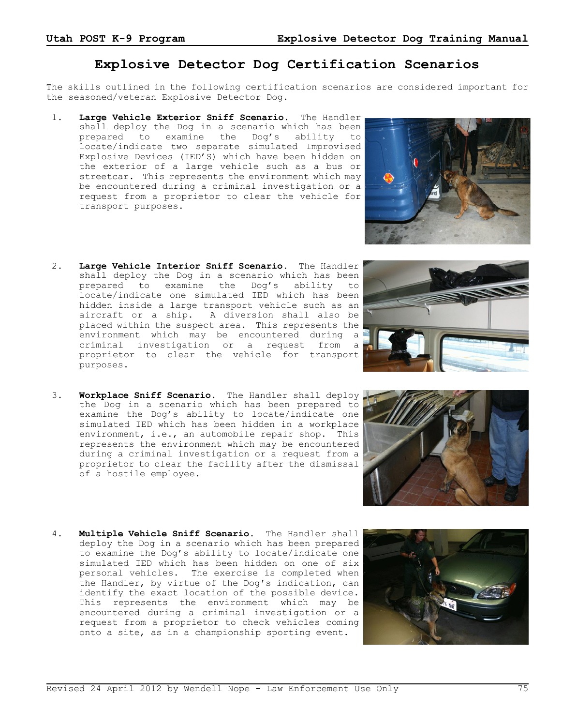## **Explosive Detector Dog Certification Scenarios**

The skills outlined in the following certification scenarios are considered important for the seasoned/veteran Explosive Detector Dog.

- 1. **Large Vehicle Exterior Sniff Scenario**. The Handler shall deploy the Dog in a scenario which has been prepared to examine the Dog's ability to locate/indicate two separate simulated Improvised Explosive Devices (IED'S) which have been hidden on the exterior of a large vehicle such as a bus or streetcar. This represents the environment which may be encountered during a criminal investigation or a request from a proprietor to clear the vehicle for transport purposes.
- 2. **Large Vehicle Interior Sniff Scenario.** The Handler shall deploy the Dog in a scenario which has been prepared to examine the Dog's ability to locate/indicate one simulated IED which has been hidden inside a large transport vehicle such as an aircraft or a ship. A diversion shall also be placed within the suspect area. This represents the environment which may be encountered during a criminal investigation or a request from a proprietor to clear the vehicle for transport purposes.
- 3. **Workplace Sniff Scenario.** The Handler shall deploy the Dog in a scenario which has been prepared to examine the Dog's ability to locate/indicate one simulated IED which has been hidden in a workplace environment, i.e., an automobile repair shop. This represents the environment which may be encountered during a criminal investigation or a request from a proprietor to clear the facility after the dismissal of a hostile employee.
- 4. **Multiple Vehicle Sniff Scenario.** The Handler shall deploy the Dog in a scenario which has been prepared to examine the Dog's ability to locate/indicate one simulated IED which has been hidden on one of six personal vehicles. The exercise is completed when the Handler, by virtue of the Dog's indication, can identify the exact location of the possible device. This represents the environment which may be encountered during a criminal investigation or a request from a proprietor to check vehicles coming onto a site, as in a championship sporting event.





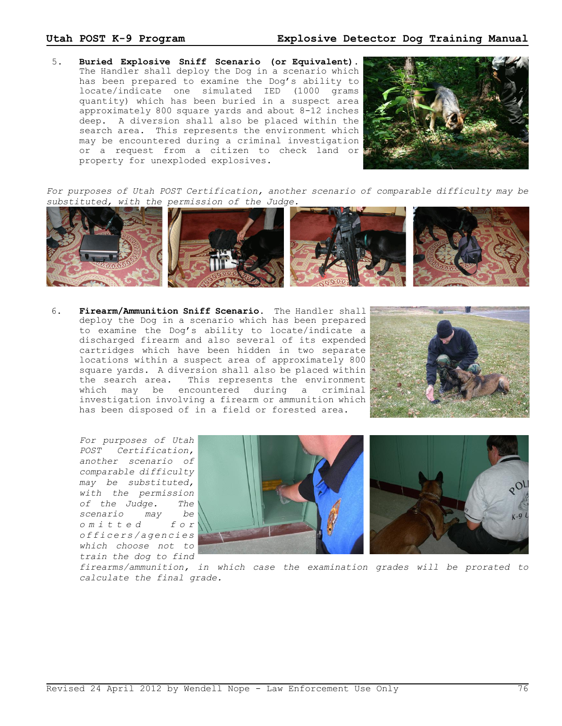## **Utah POST K-9 Program Explosive Detector Dog Training Manual**

 5. **Buried Explosive Sniff Scenario (or Equivalent).** The Handler shall deploy the Dog in a scenario which has been prepared to examine the Dog's ability to locate/indicate one simulated IED (1000 grams quantity) which has been buried in a suspect area approximately 800 square yards and about 8-12 inches deep. A diversion shall also be placed within the search area. This represents the environment which may be encountered during a criminal investigation or a request from a citizen to check land or property for unexploded explosives.



*For purposes of Utah POST Certification, another scenario of comparable difficulty may be substituted, with the permission of the Judge.*



 6. **Firearm/Ammunition Sniff Scenario.** The Handler shall deploy the Dog in a scenario which has been prepared to examine the Dog's ability to locate/indicate a discharged firearm and also several of its expended cartridges which have been hidden in two separate locations within a suspect area of approximately 800 square yards. A diversion shall also be placed within the search area. This represents the environment which may be encountered during a criminal investigation involving a firearm or ammunition which has been disposed of in a field or forested area.



*For purposes of Utah POST Certification, another scenario of comparable difficulty may be substituted, with the permission of the Judge. The scenario may be o m i t t e d f o r o f f i c e r s / a g e n c i e s which choose not to train the dog to find*





*firearms/ammunition, in which case the examination grades will be prorated to calculate the final grade.*